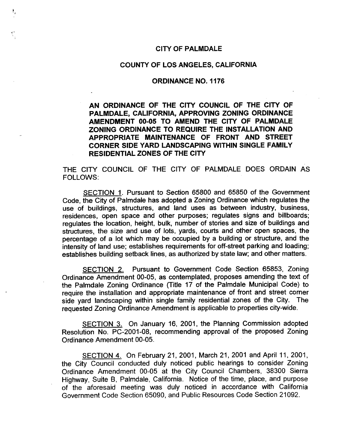#### CITY **OF PALMDALE**

#### **COUNTY OF LOS ANGELES, CALIFORNIA**

#### **ORDINANCE NO.** 1176

**AN ORDINANCE OF THE CITY COUNCIL OF THE CITY OF PALMDALE, CALIFORNIA, APPROVING ZONING ORDINANCE AMENDMENT 00-05 TO AMEND THE CITY OF PALMDALE ZONING ORDINANCE TO REQUIRE THE INSTALLATION AND APPROPRIATE MAINTENANCE OF FRONT AND STREET CORNER SIDE YARD LANDSCAPING WITHIN SINGLE FAMILY RESIDENTIAL ZONES OF THE** CITY

**THE** CITY **COUNCIL OF THE CITY OF PALMDALE DOES ORDAIN AS FOLLOWS:**

**SECTION** 1. **Pursuant to Section 65800 and 65850 of the Government** Code, the City **of Palmdale has adopted a** Zoning Ordinance which regulates the use of buildings, structures, and land uses as between industry, business, residences, open space and other purposes; regulates signs and billboards; regulates the location, height, bulk, number of stories and size of buildings and structures, the size and use of lots, yards, courts and other open spaces, the percentage of a lot which may be occupied by a building or structure, and the intensity of land use; establishes requirements for off-street parking and loading; establishes building setback lines, as authorized by state law; and other matters.

SECTION 2. Pursuant to Government Code Section 65853, Zoning Ordinance Amendment 00-05, as contemplated, proposes amending the text of the Palmdale Zoning Ordinance (Title 17 of the Palmdale Municipal Code) to require the installation and appropriate maintenance of front and street corner side yard landscaping within single family residential zones of the City. The requested Zoning Ordinance Amendment is applicable to properties city-wide.

SECTION 3. On January 16, 2001, the Planning Commission adopted Resolution No. PC-2001-08, recommending approval of the proposed Zoning Ordinance Amendment 00-05.

SECTION 4. On February 21, 2001, March 21, 2001 and April 11, 2001, the City Council conducted duly noticed public hearings to consider Zoning Ordinance Amendment 00-05 at the City Council Chambers, 38300 Sierra Highway, Suite B, Palmdale, California. Notice of the time, place, and purpose of the aforesaid meeting was duly noticed in accordance with California Government Code Section 65090, and Public Resources Code Section 21092.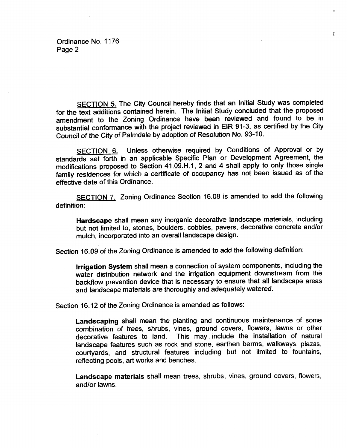SECTION 5. The City Council hereby finds that an Initial Study was completed for the text additions contained herein. The Initial Study concluded that the proposed amendment to the Zoning Ordinance have been reviewed and found to be in substantial conformance with the project reviewed in EIR 91-3, as certified by the City Council of the City of Palmdale by adoption of Resolution No. 93-10.

 $\mathcal{L}$ 

SECTION 6. Unless otherwise required by Conditions of Approval or by standards set forth in an applicable Specific Plan or Development Agreement, the modifications proposed to Section 41.09.H.1, 2 and 4 shall apply to only those single family residences for which a certificate of occupancy has not been issued as of the effective date of this Ordinance.

SECTION 7. Zoning Ordinance Section 16.08 is amended to add the following definition:

Hardscape shall mean any inorganic decorative landscape materials, including but not limited to, stones, boulders, cobbles, payers, decorative concrete and/or mulch, incorporated into an overall landscape design.

Section 16.09 of the Zoning Ordinance is amended to add the following definition:

Irrigation System shall mean a connection of system components, including the water distribution network and the irrigation equipment downstream from the backflow prevention device that is necessary to ensure that all landscape areas and landscape materials are thoroughly and adequately watered.

Section 16.12 of the Zoning Ordinance is amended as follows:

Landscaping shall mean the planting and continuous maintenance of some combination of trees, shrubs, vines, ground covers, flowers, lawns or other decorative features to land. This may include the installation of natural landscape features such as rock and stone, earthen berms, walkways, plazas, courtyards, and structural features including but not limited to fountains, reflecting pools, art works and benches.

Landscape materials shall mean trees, shrubs, vines, ground covers, flowers, and/or lawns.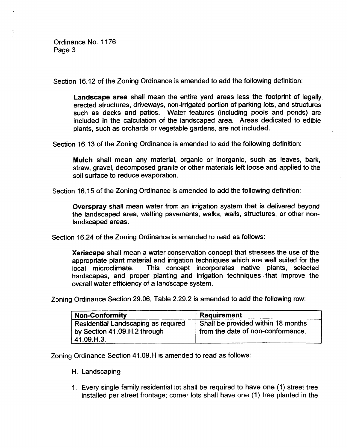Section 16.12 of the Zoning Ordinance is amended to add the following definition:

Landscape area shall mean the entire yard areas less the footprint of legally. erected structures, driveways, non-irrigated portion of parking lots, and structures such as decks and patios. Water features (including pools and ponds) are included in the calculation of the landscaped area. Areas dedicated to edible plants, such as orchards or vegetable gardens, are not included.

Section 16.13 of the Zoning Ordinance is amended to add the following definition:

Mulch shall mean any material, organic or inorganic, such as leaves, bark, straw, gravel, decomposed granite or other materials left loose and applied to the soil surface to reduce evaporation.

Section 16.15 of the Zoning Ordinance is amended to add the following definition:

Overspray shall mean water from an irrigation system that is delivered beyond the landscaped area, wetting pavements, walks, walls, structures, or other nonlandscaped areas.

Section 16.24 of the Zoning Ordinance is amended to read as follows:

Xeriscape shall mean a water conservation concept that stresses the use of the appropriate plant material and irrigation techniques which are well suited for the local microclimate. This concept incorporates native plants, selected hardscapes, and proper planting and irrigation techniques that improve the overall water efficiency of a landscape system.

Zoning Ordinance Section 29.06, Table 2.29.2 is amended to add the following row:

| <b>Non-Conformity</b>                                                             | Requirement                                                             |
|-----------------------------------------------------------------------------------|-------------------------------------------------------------------------|
| Residential Landscaping as required<br>by Section 41.09.H.2 through<br>41.09.H.3. | Shall be provided within 18 months<br>from the date of non-conformance. |

Zoning Ordinance Section 41.09.H is amended to read as follows:

- H. Landscaping
- Every single family residential lot shall be required to have one (1) street tree installed per street frontage; corner lots shall have one (1) tree planted in the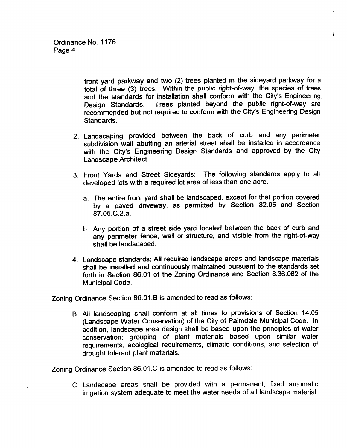front yard parkway and two (2) trees planted in the sideyard parkway for a total of three (3) trees. Within the public right-of-way, the species of trees and the standards for installation shall conform with the City's Engineering. Design Standards. Trees planted beyond the public right-of-way are recommended but not required to conform with the City's Engineering Design Standards.

 $\mathbf{r}$ 

- 2. Landscaping provided between the back of curb and any perimeter subdivision wall abutting an arterial street shall be installed in accordance with the City's Engineering Design Standards and approved by the City Landscape Architect.
- 3. Front Yards and Street Sideyards: The following standards apply to all developed lots with a required lot area of less than one acre.
	- a. The entire front yard shall be landscaped, except for that portion covered by a paved driveway, as permitted by Section 82.05 and Section 87.05.C.2.a.
	- b. Any portion of a street side yard located between the back of curb and any perimeter fence, wall or structure, and visible from the right-of-way shall be landscaped.
- 4. Landscape standards: All required landscape areas and landscape materials shall be installed and continuously maintained pursuant to the standards set forth in Section 86.01 of the Zoning Ordinance and Section 8.36.062 of the Municipal Code.

Zoning Ordinance Section 86.01 .B is amended to read as follows:

B. All landscaping shall conform at all times to provisions of Section 14.05 (Landscape Water Conservation) of the City of Palmdale Municipal Code. In addition, landscape area design shall be based upon the principles of water conservation; grouping of plant materials based upon similar water requirements, ecological requirements, climatic conditions, and selection of drought tolerant plant materials.

Zoning Ordinance Section 86.01 .C is amended to read as follows:

C. Landscape areas shall be provided with a permanent, fixed automatic irrigation system adequate to meet the water needs of all landscape material.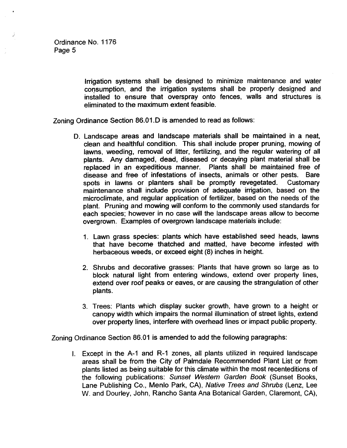Irrigation systems shall be designed to minimize maintenance and water consumption, and the irrigation systems shall be properly designed and installed to ensure that overspray onto fences, walls and structures is eliminated to the maximum extent feasible.

Zoning Ordinance Section 86.01 .D is amended to read as follows:

- 0. Landscape areas and landscape materials shall be maintained in a neat, clean and healthful condition. This shall include proper pruning, mowing of lawns, weeding, removal of litter, fertilizing, and the regular watering of all plants. Any damaged, dead, diseased or decaying plant material shall be replaced in an expeditious manner. Plants shall be maintained free of disease and free of infestations of insects, animals or other pests. Bare spots in lawns or planters shall be promptly revegetated. Customary maintenance shall include provision of adequate irrigation, based on the microclimate, and regular application of fertilizer, based on the needs of the plant. Pruning and mowing will conform to the commonly used standards for each species; however in no case will the landscape areas allow to become overgrown. Examples of overgrown landscape materials include:
	- 1. Lawn grass species: plants which have established seed heads, lawns that have become thatched and matted, have become infested with herbaceous weeds, or exceed eight (8) inches in height.
	- 2. Shrubs and decorative grasses: Plants that have grown so large as to block natural light from entering windows, extend over property lines, extend over roof peaks or eaves, or are causing the strangulation of other plants.
	- 3. Trees: Plants which display sucker growth, have grown to a height or canopy width which impairs the normal illumination of street lights, extend over property lines, interfere with overhead lines or impact public property.

Zoning Ordinance Section 86.01 is amended to add the following paragraphs:

Except in the A-I and R-1 zones, all plants utilized in required landscape areas shall be from the City of Palmdale Recommended Plant List or from plants listed as being suitable for thisclimate within the most recenteditions of the following publications: Sunset Western Garden Book (Sunset Books, Lane Publishing Co., Menlo Park, CA), Native Trees and Shrubs (Lenz, Lee W. and Dourley, John, Rancho Santa Ana Botanical Garden, Claremont, CA),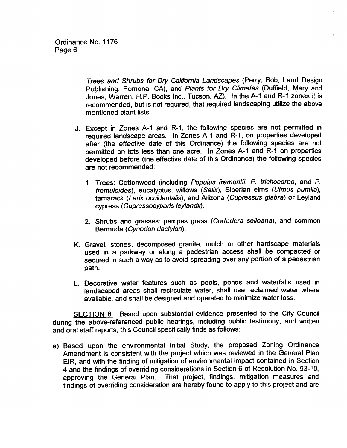Trees and Shrubs for Dry California Landscapes (Perry, Bob, Land Design Publishing, Pomona, CA), and Plants for Dry Climates (Duffield, Mary and Jones, Warren, H.P. Books Inc,. Tucson, AZ). In the A-1 and R-1 zones it is recommended, but is not required, that required landscaping utilize the above mentioned plant lists.

- J. Except in Zones A-I and R-1, the following species are not permitted in required landscape areas. In Zones A-I and R-I, on properties developed after (the effective date of this Ordinance) the following species are not permitted on lots less than one acre. In Zones A-I and R-I on properties developed before (the effective date of this Ordinance) the following species are not recommended:
	- 1. Trees: Cottonwood (including Populus fremontii, P. trichocarpa, and P. tremuloides), eucalyptus, willows (Salix), Siberian elms (Ulmus pumila), tamarack (Larix occidentalis), and Arizona (Cupressus glabra) or Leyland cypress (Cupressocypans leylandil).
	- 2. Shrubs and grasses: pampas grass (Cortadera selloana), and common Bermuda (Cynodon dactylon).
- K. Gravel, stones, decomposed granite, mulch or other hardscape materials used in a parkway or along a pedestrian access shall be compacted or secured in such a way as to avoid spreading over any portion of a pedestrian path.
- L. Decorative water features such as pools, ponds and waterfalls used in landscaped areas shall recirculate water, shall use reclaimed water where available, and shall be designed and operated to minimize water loss.

SECTION 8. Based upon substantial evidence presented to the City Council during the above-referenced public hearings, including public testimony, and written and oral staff reports, this Council specifically finds as follows:

a) Based upon the environmental Initial Study, the proposed Zoning Ordinance Amendment is consistent with the project which was reviewed in the General Plan EIR, and with the finding of mitigation of environmental impact contained in Section 4 and the findings of overriding considerations in Section 6 of Resolution No. 93-10, approving the General Plan. That project, findings, mitigation measures and findings of overriding consideration are hereby found to apply to this project and are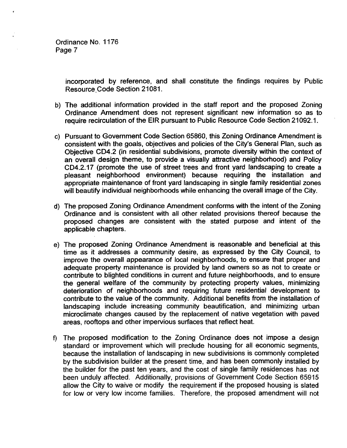> incorporated by reference, and shall constitute the findings requires by Public Resource Code Section 21081.

- b) The additional information provided in the staff report and the proposed Zoning Ordinance Amendment does not represent significant new information so as to require recirculation of the EIR pursuant to Public Resource Code Section 21092.1.
- c) Pursuant to Government Code Section 65860, this Zoning Ordinance Amendment is consistent with the goals, objectives and policies of the City's General Plan, such as Objective CD4.2 (in residential subdivisions, promote diversity within the context of an overall design theme, to provide a visually attractive neighborhood) and Policy CD4.2.17 (promote the use of street trees and front yard landscaping to create a pleasant neighborhood environment) because requiring the installation and appropriate maintenance of front yard landscaping in single family residential zones will beautify individual neighborhoods while enhancing the overall image of the City.
- d) The proposed Zoning Ordinance Amendment conforms with the intent of the Zoning Ordinance and is consistent with all other related provisions thereof because the proposed changes are consistent with the stated purpose and intent of the applicable chapters.
- e) The proposed Zoning Ordinance Amendment is reasonable and beneficial at this time as it addresses a community desire, as expressed by the City Council, to improve the overall appearance of local neighborhoods, to ensure that proper and adequate property maintenance is provided by land owners so as not to create or contribute to blighted conditions in current and future neighborhoods, and to ensure the general welfare of the community by protecting property values, minimizing deterioration of neighborhoods and requiring future residential development to contribute to the value of the community. Additional benefits from the installation of landscaping include increasing community beautification, and minimizing urban microclimate changes caused by the replacement of native vegetation with paved areas, rooftops and other impervious surfaces that reflect heat.
- f) The proposed modification to the Zoning Ordinance does not impose a design standard or improvement which will preclude housing for all economic segments, because the installation of landscaping in new subdivisions is commonly completed by the subdivision builder at the present time, and has been commonly installed by the builder for the past ten years, and the cost of single family residences has not been unduly affected. Additionally, provisions of Government Code Section 65915 allow the City to waive or modify the requirement if the proposed housing is slated for low or very low income families. Therefore, the proposed amendment will not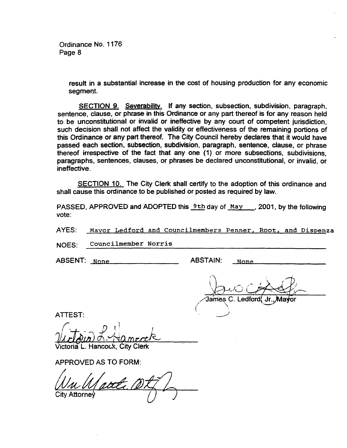> result in a substantial increase in the cost of housing production for any economic segment.

SECTION 9. Severability. If any section, subsection, subdivision, paragraph, sentence, clause, or phrase in this Ordinance or any part thereof is for any reason held to be unconstitutional or invalid or ineffective by any court of competent jurisdiction, such decision shall not affect the validity or effectiveness of the remaining portions of this Ordinance or any part thereof. The City Council hereby declares that it would have passed each section, subsection, subdivision, paragraph, sentence, clause, or phrase thereof irrespective of the fact that any one (1) or more subsections, subdivisions, paragraphs, sentences, clauses, or phrases be declared unconstitutional, or invalid, or ineffective.

SECTION 10. The City Clerk shall certify to the adoption of this ordinance and shall cause this ordinance to be published or posted as required by law.

PASSED, APPROVED and ADOPTED this  $9th$  day of May , 2001, by the following vote:

AYES: Mayor Ledford and Councilmembers Penner, Root, and Dispenza

NOES: Councilinember Norris

ABSENT: None

ABSTAIN: None

James .edford

**ATTEST:** 

I Victour

/ictoria L. Hancock.

APPROVED AS TO FORM:

City Attorne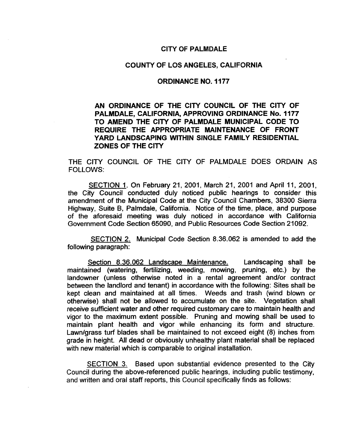# CITY OF PALMDALE

## COUNTY OF LOS ANGELES, CALIFORNIA

# ORDINANCE NO. 1177

# AN ORDINANCE OF THE CITY COUNCIL OF THE CITY OF PALMDALE, CALIFORNIA, APPROVING ORDINANCE No. 1177 TO AMEND THE CITY OF PALMDALE MUNICIPAL CODE TO REQUIRE THE APPROPRIATE MAINTENANCE OF FRONT YARD LANDSCAPING WITHIN SINGLE FAMILY RESIDENTIAL ZONES OF THE CITY

THE CITY COUNCIL OF THE CITY OF PALMDALE DOES ORDAIN AS FOLLOWS:

SECTION 1. On February 21, 2001, March 21, 2001 and April 11, 2001, the City Council conducted duly noticed public hearings to consider this amendment of the Municipal Code at the City Council Chambers, 38300 Sierra Highway, Suite B, Palmdale, California. Notice of the time, place, and purpose of the aforesaid meeting was duly noticed in accordance with California Government Code Section 65090, and Public Resources Code Section 21092.

SECTION 2. Municipal Code Section 8.36.062 is amended to add the following paragraph:

Section 8.36.062 Landscape Maintenance. Landscaping shall be maintained (watering, fertilizing, weeding, mowing, pruning, etc.) by the landowner (unless otherwise noted in a rental agreement and/or contract between the landlord and tenant) in accordance with the following: Sites shall be kept clean and maintained at all times. Weeds and trash (wind blown or otherwise) shall not be allowed to accumulate on the site. Vegetation shall receive sufficient water and other required customary care to maintain health and vigor to the maximum extent possible. Pruning and mowing shall be used to maintain plant health and vigor while enhancing its form and structure. Lawn/grass turf blades shall be maintained to not exceed eight (8) inches from grade in height. All dead or obviously unhealthy plant material shall be replaced with new material which is comparable to original installation.

SECTION 3. Based upon substantial evidence presented to the City Council during the above-referenced public hearings, including public testimony, and written and oral staff reports, this Council specifically finds as follows: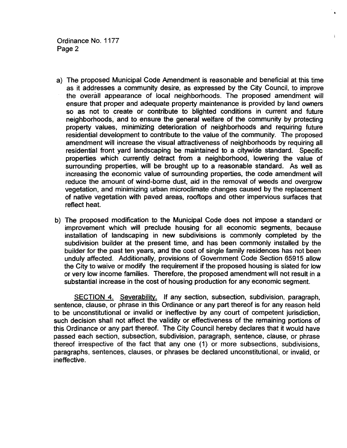- a) The proposed Municipal Code Amendment is reasonable and beneficial at this time as it addresses a community desire, as expressed by the City Council, to improve the overall appearance of local neighborhoods. The proposed amendment will ensure that proper and adequate property maintenance is provided by land owners so as not to create or contribute to blighted conditions in current and future neighborhoods, and to ensure the general welfare of the community by protecting property values, minimizing deterioration of neighborhoods and requiring future residential development to contribute to the value of the community. The proposed amendment will increase the visual attractiveness of neighborhoods by requiring all residential front yard landscaping be maintained to a citywide standard. Specific properties which currently detract from a neighborhood, lowering the value of surrounding properties, will be brought up to a reasonable standard. As well as increasing the economic value of surrounding properties, the code amendment Will reduce the amount of wind-borne dust, aid in the removal of weeds and overgrow vegetation, and minimizing urban microclimate changes caused by the replacement of native vegetation with paved areas, rooftops and other impervious surfaces that reflect heat.
- b) The proposed modification to the Municipal Code does not impose a standard or improvement which will preclude housing for all economic segments, because installation of landscaping in new subdivisions is commonly completed by the subdivision builder at the present time, and has been commonly installed by the builder for the past ten years, and the cost of single family residences has not been unduly affected. Additionally, provisions of Government Code Section 65915 allow the City to waive or modify the requirement if the proposed housing is slated for low or very low income families. Therefore, the proposed amendment will not result in a substantial increase in the cost of housing production for any economic segment.

SECTION 4. Severability. If any section, subsection, subdivision, paragraph, sentence, clause, or phrase in this Ordinance or any part thereof is for any reason held to be unconstitutional or invalid or ineffective by any court of competent jurisdiction, such decision shall not affect the validity or effectiveness of the remaining portions of this Ordinance or any part thereof. The City Council hereby declares that it would have passed each section, subsection, subdivision, paragraph, sentence, clause, or phrase thereof irrespective of the fact that any one (1) or more subsections, subdivisions, paragraphs, sentences, clauses, or phrases be declared unconstitutional, or invalid, or ineffective.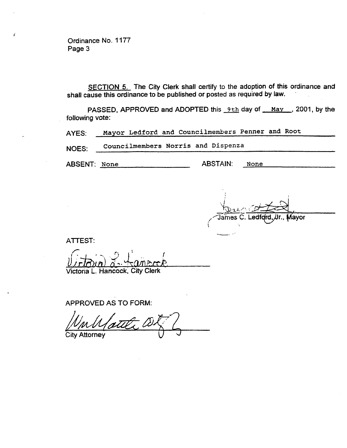SECTION 5. The City Clerk shall certify to the adoption of this ordinance and shall cause this ordinance to be published or posted as required by law.

PASSED, APPROVED and ADOPTED this 9th day of May , 2001, by the following vote:

AYES: Mayor Ledford and Councilmembers Penner and Root

NOES: Councilmembers Norris and Dispenza

ABSENT: None ABSTAIN: None

nes C. Ledf**qrd,***J***lr., Mayor** 

ATTEST:

 $U$  $J$ r $B$  $u$ n) $\bar{d}$   $\cdots$ Victoria L. Hancock, City Clerk

APPROVED AS TO FORM:

City Attorney